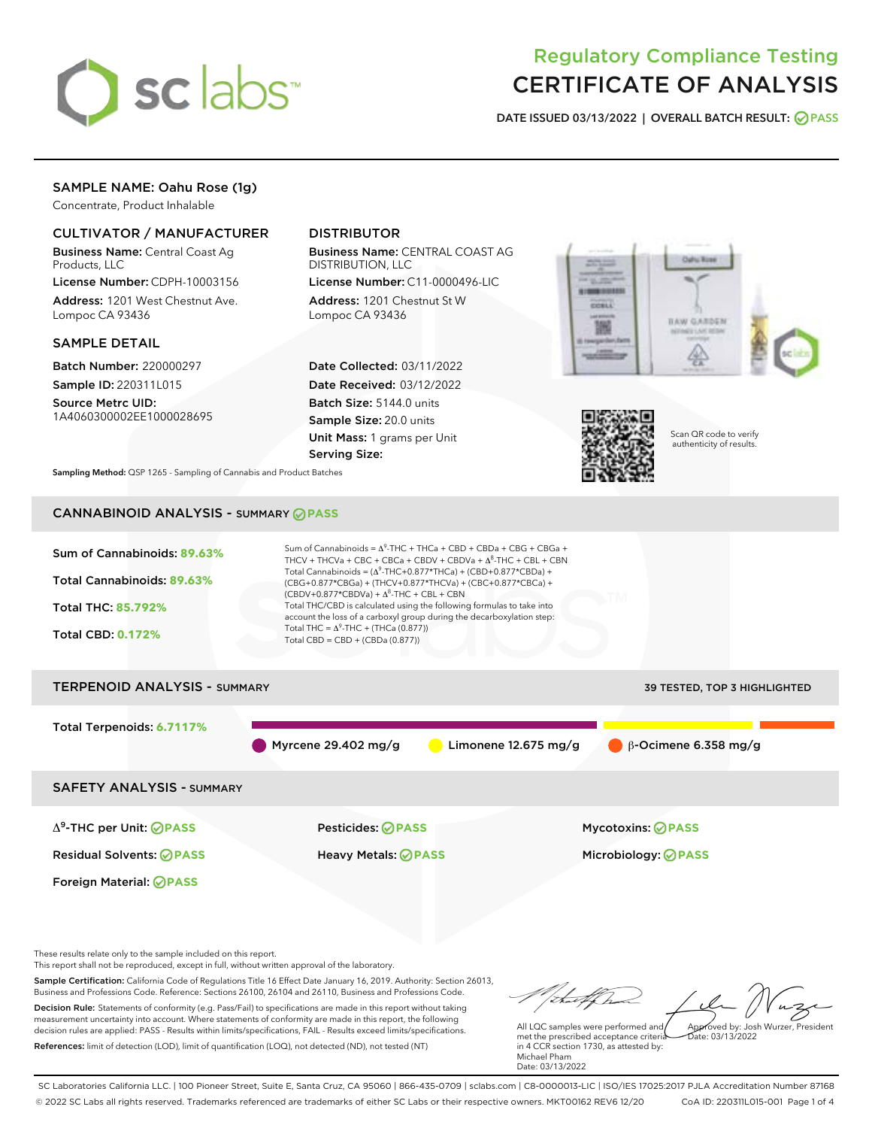

# Regulatory Compliance Testing CERTIFICATE OF ANALYSIS

DATE ISSUED 03/13/2022 | OVERALL BATCH RESULT: @ PASS

## SAMPLE NAME: Oahu Rose (1g)

Concentrate, Product Inhalable

## CULTIVATOR / MANUFACTURER

Business Name: Central Coast Ag Products, LLC

License Number: CDPH-10003156 Address: 1201 West Chestnut Ave. Lompoc CA 93436

#### SAMPLE DETAIL

Batch Number: 220000297 Sample ID: 220311L015

Source Metrc UID: 1A4060300002EE1000028695

## DISTRIBUTOR

Business Name: CENTRAL COAST AG DISTRIBUTION, LLC

License Number: C11-0000496-LIC Address: 1201 Chestnut St W Lompoc CA 93436

Date Collected: 03/11/2022 Date Received: 03/12/2022 Batch Size: 5144.0 units Sample Size: 20.0 units Unit Mass: 1 grams per Unit Serving Size:





Scan QR code to verify authenticity of results.

Sampling Method: QSP 1265 - Sampling of Cannabis and Product Batches

## CANNABINOID ANALYSIS - SUMMARY **PASS**



Sample Certification: California Code of Regulations Title 16 Effect Date January 16, 2019. Authority: Section 26013, Business and Professions Code. Reference: Sections 26100, 26104 and 26110, Business and Professions Code. Decision Rule: Statements of conformity (e.g. Pass/Fail) to specifications are made in this report without taking measurement uncertainty into account. Where statements of conformity are made in this report, the following decision rules are applied: PASS - Results within limits/specifications, FAIL - Results exceed limits/specifications. References: limit of detection (LOD), limit of quantification (LOQ), not detected (ND), not tested (NT)

All LQC samples were performed and Approved by: Josh Wurzer, President  $hat{O}$ : 03/13/2022

met the prescribed acceptance criteria in 4 CCR section 1730, as attested by: Michael Pham Date: 03/13/2022

SC Laboratories California LLC. | 100 Pioneer Street, Suite E, Santa Cruz, CA 95060 | 866-435-0709 | sclabs.com | C8-0000013-LIC | ISO/IES 17025:2017 PJLA Accreditation Number 87168 © 2022 SC Labs all rights reserved. Trademarks referenced are trademarks of either SC Labs or their respective owners. MKT00162 REV6 12/20 CoA ID: 220311L015-001 Page 1 of 4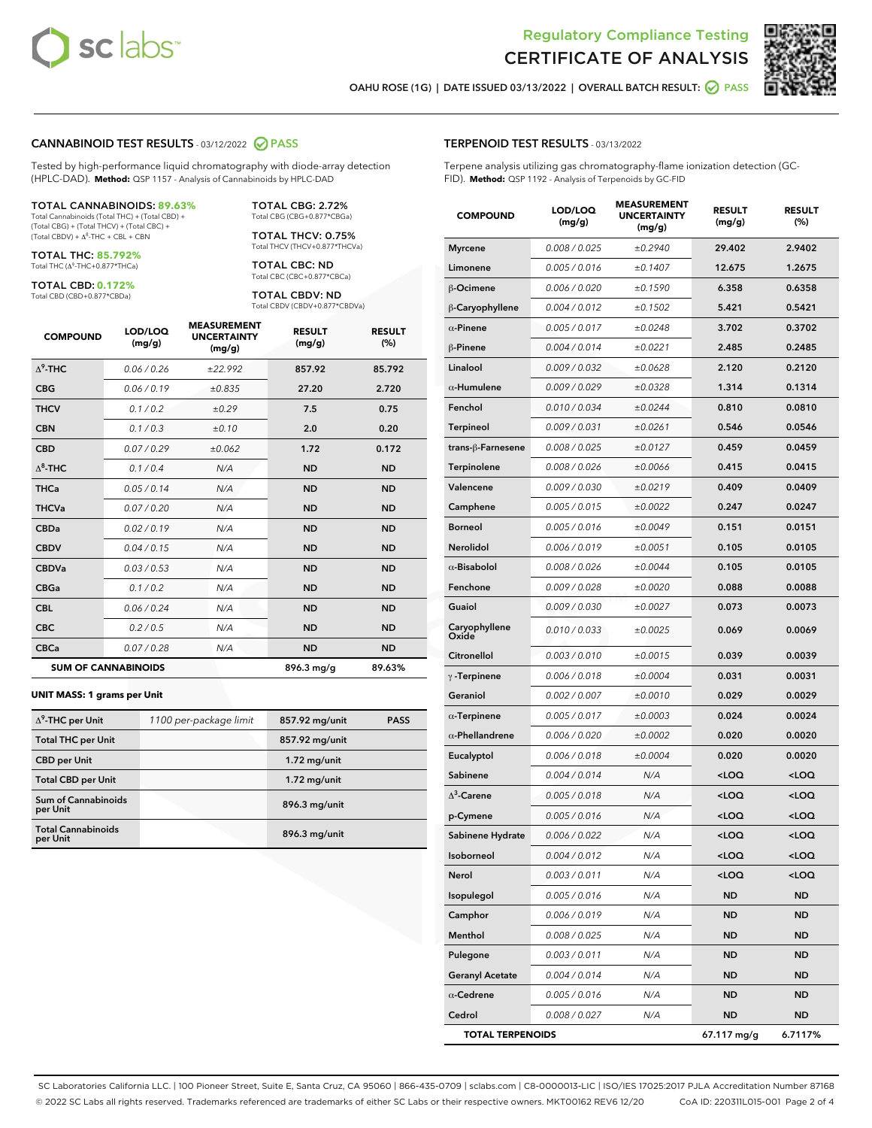



OAHU ROSE (1G) | DATE ISSUED 03/13/2022 | OVERALL BATCH RESULT: @ PASS

#### CANNABINOID TEST RESULTS - 03/12/2022 2 PASS

Tested by high-performance liquid chromatography with diode-array detection (HPLC-DAD). **Method:** QSP 1157 - Analysis of Cannabinoids by HPLC-DAD

#### TOTAL CANNABINOIDS: **89.63%**

Total Cannabinoids (Total THC) + (Total CBD) + (Total CBG) + (Total THCV) + (Total CBC) +  $(Total CBDV) +  $\Delta^8$ -THC + CBL + CBN$ 

TOTAL THC: **85.792%** Total THC (Δ<sup>9</sup> -THC+0.877\*THCa)

TOTAL CBD: **0.172%**

Total CBD (CBD+0.877\*CBDa)

TOTAL CBG: 2.72% Total CBG (CBG+0.877\*CBGa)

TOTAL THCV: 0.75% Total THCV (THCV+0.877\*THCVa)

TOTAL CBC: ND Total CBC (CBC+0.877\*CBCa)

TOTAL CBDV: ND Total CBDV (CBDV+0.877\*CBDVa)

| <b>COMPOUND</b>  | LOD/LOQ<br>(mg/g)          | <b>MEASUREMENT</b><br><b>UNCERTAINTY</b><br>(mg/g) | <b>RESULT</b><br>(mg/g) | <b>RESULT</b><br>(%) |
|------------------|----------------------------|----------------------------------------------------|-------------------------|----------------------|
| $\Lambda^9$ -THC | 0.06 / 0.26                | ±22.992                                            | 857.92                  | 85.792               |
| <b>CBG</b>       | 0.06/0.19                  | ±0.835                                             | 27.20                   | 2.720                |
| <b>THCV</b>      | 0.1 / 0.2                  | ±0.29                                              | 7.5                     | 0.75                 |
| <b>CBN</b>       | 0.1/0.3                    | ±0.10                                              | 2.0                     | 0.20                 |
| <b>CBD</b>       | 0.07/0.29                  | ±0.062                                             | 1.72                    | 0.172                |
| $\Delta^8$ -THC  | 0.1 / 0.4                  | N/A                                                | <b>ND</b>               | <b>ND</b>            |
| <b>THCa</b>      | 0.05/0.14                  | N/A                                                | <b>ND</b>               | <b>ND</b>            |
| <b>THCVa</b>     | 0.07/0.20                  | N/A                                                | <b>ND</b>               | <b>ND</b>            |
| <b>CBDa</b>      | 0.02/0.19                  | N/A                                                | <b>ND</b>               | <b>ND</b>            |
| <b>CBDV</b>      | 0.04 / 0.15                | N/A                                                | <b>ND</b>               | <b>ND</b>            |
| <b>CBDVa</b>     | 0.03/0.53                  | N/A                                                | <b>ND</b>               | <b>ND</b>            |
| <b>CBGa</b>      | 0.1/0.2                    | N/A                                                | <b>ND</b>               | <b>ND</b>            |
| <b>CBL</b>       | 0.06 / 0.24                | N/A                                                | <b>ND</b>               | <b>ND</b>            |
| <b>CBC</b>       | 0.2 / 0.5                  | N/A                                                | <b>ND</b>               | <b>ND</b>            |
| <b>CBCa</b>      | 0.07/0.28                  | N/A                                                | <b>ND</b>               | <b>ND</b>            |
|                  | <b>SUM OF CANNABINOIDS</b> |                                                    | 896.3 mg/g              | 89.63%               |

#### **UNIT MASS: 1 grams per Unit**

| $\Delta^9$ -THC per Unit               | 1100 per-package limit | 857.92 mg/unit | <b>PASS</b> |
|----------------------------------------|------------------------|----------------|-------------|
| <b>Total THC per Unit</b>              |                        | 857.92 mg/unit |             |
| <b>CBD per Unit</b>                    |                        | $1.72$ mg/unit |             |
| <b>Total CBD per Unit</b>              |                        | $1.72$ mg/unit |             |
| <b>Sum of Cannabinoids</b><br>per Unit |                        | 896.3 mg/unit  |             |
| <b>Total Cannabinoids</b><br>per Unit  |                        | 896.3 mg/unit  |             |

#### TERPENOID TEST RESULTS - 03/13/2022

Terpene analysis utilizing gas chromatography-flame ionization detection (GC-FID). **Method:** QSP 1192 - Analysis of Terpenoids by GC-FID

| <b>COMPOUND</b>         | LOD/LOQ<br>(mg/g) | <b>MEASUREMENT</b><br><b>UNCERTAINTY</b><br>(mg/g) | <b>RESULT</b><br>(mg/g)                         | <b>RESULT</b><br>(%) |
|-------------------------|-------------------|----------------------------------------------------|-------------------------------------------------|----------------------|
| <b>Myrcene</b>          | 0.008 / 0.025     | ±0.2940                                            | 29.402                                          | 2.9402               |
| Limonene                | 0.005 / 0.016     | ±0.1407                                            | 12.675                                          | 1.2675               |
| <b>B-Ocimene</b>        | 0.006 / 0.020     | ±0.1590                                            | 6.358                                           | 0.6358               |
| β-Caryophyllene         | 0.004 / 0.012     | ±0.1502                                            | 5.421                                           | 0.5421               |
| $\alpha$ -Pinene        | 0.005 / 0.017     | ±0.0248                                            | 3.702                                           | 0.3702               |
| β-Pinene                | 0.004 / 0.014     | ±0.0221                                            | 2.485                                           | 0.2485               |
| Linalool                | 0.009 / 0.032     | ±0.0628                                            | 2.120                                           | 0.2120               |
| $\alpha$ -Humulene      | 0.009/0.029       | ±0.0328                                            | 1.314                                           | 0.1314               |
| Fenchol                 | 0.010 / 0.034     | ±0.0244                                            | 0.810                                           | 0.0810               |
| Terpineol               | 0.009 / 0.031     | ±0.0261                                            | 0.546                                           | 0.0546               |
| trans-β-Farnesene       | 0.008 / 0.025     | ±0.0127                                            | 0.459                                           | 0.0459               |
| Terpinolene             | 0.008 / 0.026     | ±0.0066                                            | 0.415                                           | 0.0415               |
| Valencene               | 0.009 / 0.030     | ±0.0219                                            | 0.409                                           | 0.0409               |
| Camphene                | 0.005 / 0.015     | ±0.0022                                            | 0.247                                           | 0.0247               |
| <b>Borneol</b>          | 0.005 / 0.016     | ±0.0049                                            | 0.151                                           | 0.0151               |
| Nerolidol               | 0.006 / 0.019     | ±0.0051                                            | 0.105                                           | 0.0105               |
| $\alpha$ -Bisabolol     | 0.008 / 0.026     | ±0.0044                                            | 0.105                                           | 0.0105               |
| Fenchone                | 0.009 / 0.028     | ±0.0020                                            | 0.088                                           | 0.0088               |
| Guaiol                  | 0.009 / 0.030     | ±0.0027                                            | 0.073                                           | 0.0073               |
| Caryophyllene<br>Oxide  | 0.010 / 0.033     | ±0.0025                                            | 0.069                                           | 0.0069               |
| Citronellol             | 0.003 / 0.010     | ±0.0015                                            | 0.039                                           | 0.0039               |
| $\gamma$ -Terpinene     | 0.006 / 0.018     | ±0.0004                                            | 0.031                                           | 0.0031               |
| Geraniol                | 0.002 / 0.007     | ±0.0010                                            | 0.029                                           | 0.0029               |
| $\alpha$ -Terpinene     | 0.005 / 0.017     | ±0.0003                                            | 0.024                                           | 0.0024               |
| $\alpha$ -Phellandrene  | 0.006 / 0.020     | ±0.0002                                            | 0.020                                           | 0.0020               |
| Eucalyptol              | 0.006 / 0.018     | ±0.0004                                            | 0.020                                           | 0.0020               |
| Sabinene                | 0.004 / 0.014     | N/A                                                | <loq< th=""><th><loq< th=""></loq<></th></loq<> | <loq< th=""></loq<>  |
| $\Delta^3$ -Carene      | 0.005 / 0.018     | N/A                                                | <loq< th=""><th><loq< th=""></loq<></th></loq<> | <loq< th=""></loq<>  |
| p-Cymene                | 0.005 / 0.016     | N/A                                                | <loq< th=""><th><loq< th=""></loq<></th></loq<> | <loq< th=""></loq<>  |
| Sabinene Hydrate        | 0.006 / 0.022     | N/A                                                | <loq< th=""><th><loq< th=""></loq<></th></loq<> | <loq< th=""></loq<>  |
| Isoborneol              | 0.004 / 0.012     | N/A                                                | <loq< th=""><th><loq< th=""></loq<></th></loq<> | <loq< th=""></loq<>  |
| Nerol                   | 0.003 / 0.011     | N/A                                                | <loq< th=""><th><loq< th=""></loq<></th></loq<> | <loq< th=""></loq<>  |
| Isopulegol              | 0.005 / 0.016     | N/A                                                | <b>ND</b>                                       | <b>ND</b>            |
| Camphor                 | 0.006 / 0.019     | N/A                                                | <b>ND</b>                                       | <b>ND</b>            |
| Menthol                 | 0.008 / 0.025     | N/A                                                | ND                                              | ND                   |
| Pulegone                | 0.003 / 0.011     | N/A                                                | <b>ND</b>                                       | ND                   |
| <b>Geranyl Acetate</b>  | 0.004 / 0.014     | N/A                                                | <b>ND</b>                                       | ND                   |
| $\alpha$ -Cedrene       | 0.005 / 0.016     | N/A                                                | ND                                              | ND                   |
| Cedrol                  | 0.008 / 0.027     | N/A                                                | <b>ND</b>                                       | ND                   |
| <b>TOTAL TERPENOIDS</b> |                   |                                                    | 67.117 mg/g                                     | 6.7117%              |

SC Laboratories California LLC. | 100 Pioneer Street, Suite E, Santa Cruz, CA 95060 | 866-435-0709 | sclabs.com | C8-0000013-LIC | ISO/IES 17025:2017 PJLA Accreditation Number 87168 © 2022 SC Labs all rights reserved. Trademarks referenced are trademarks of either SC Labs or their respective owners. MKT00162 REV6 12/20 CoA ID: 220311L015-001 Page 2 of 4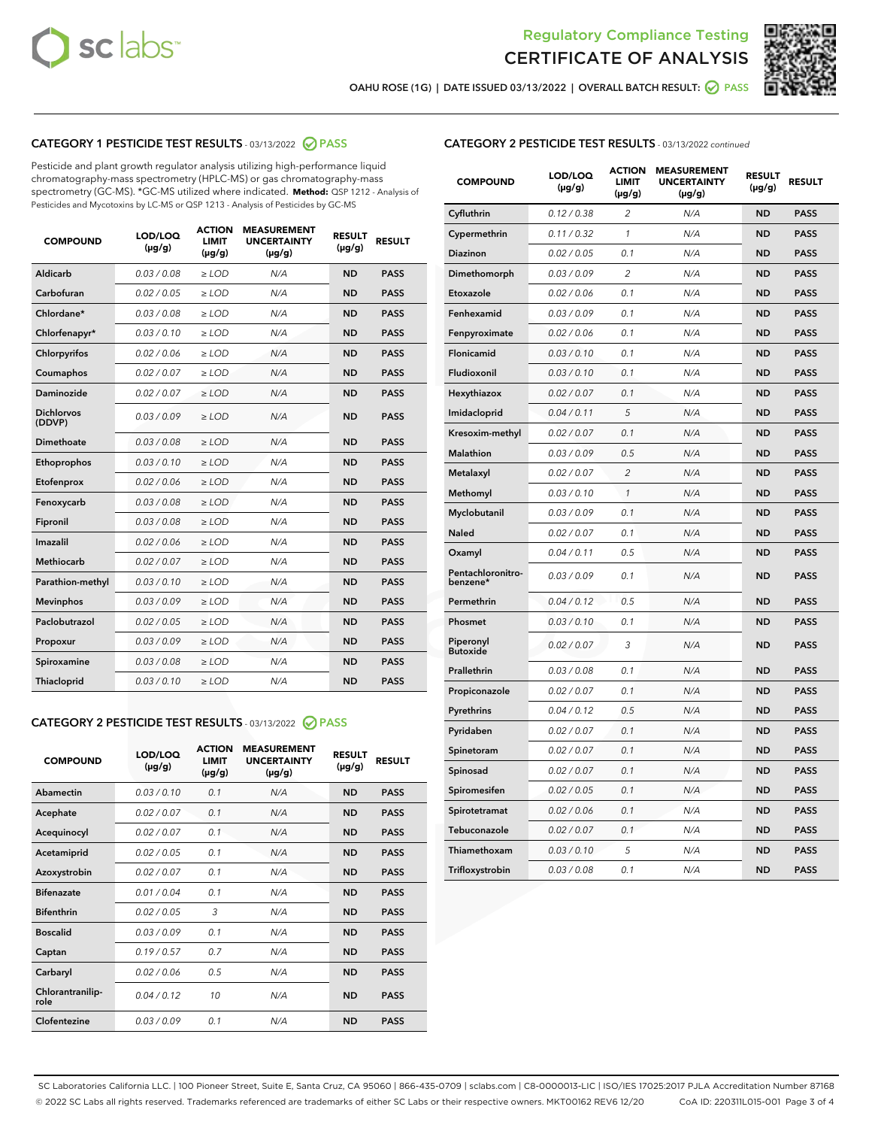



OAHU ROSE (1G) | DATE ISSUED 03/13/2022 | OVERALL BATCH RESULT:  $\bigcirc$  PASS

## CATEGORY 1 PESTICIDE TEST RESULTS - 03/13/2022 2 PASS

Pesticide and plant growth regulator analysis utilizing high-performance liquid chromatography-mass spectrometry (HPLC-MS) or gas chromatography-mass spectrometry (GC-MS). \*GC-MS utilized where indicated. **Method:** QSP 1212 - Analysis of Pesticides and Mycotoxins by LC-MS or QSP 1213 - Analysis of Pesticides by GC-MS

| <b>COMPOUND</b>             | LOD/LOQ<br>$(\mu g/g)$ | <b>ACTION</b><br><b>LIMIT</b><br>$(\mu g/g)$ | <b>MEASUREMENT</b><br><b>UNCERTAINTY</b><br>$(\mu g/g)$ | <b>RESULT</b><br>$(\mu g/g)$ | <b>RESULT</b> |
|-----------------------------|------------------------|----------------------------------------------|---------------------------------------------------------|------------------------------|---------------|
| Aldicarb                    | 0.03 / 0.08            | $\ge$ LOD                                    | N/A                                                     | <b>ND</b>                    | <b>PASS</b>   |
| Carbofuran                  | 0.02 / 0.05            | $\ge$ LOD                                    | N/A                                                     | <b>ND</b>                    | <b>PASS</b>   |
| Chlordane*                  | 0.03/0.08              | $\ge$ LOD                                    | N/A                                                     | <b>ND</b>                    | <b>PASS</b>   |
| Chlorfenapyr*               | 0.03/0.10              | $\ge$ LOD                                    | N/A                                                     | <b>ND</b>                    | <b>PASS</b>   |
| Chlorpyrifos                | 0.02/0.06              | $>$ LOD                                      | N/A                                                     | <b>ND</b>                    | <b>PASS</b>   |
| Coumaphos                   | 0.02 / 0.07            | $\ge$ LOD                                    | N/A                                                     | <b>ND</b>                    | <b>PASS</b>   |
| Daminozide                  | 0.02 / 0.07            | $\ge$ LOD                                    | N/A                                                     | <b>ND</b>                    | <b>PASS</b>   |
| <b>Dichlorvos</b><br>(DDVP) | 0.03/0.09              | $\ge$ LOD                                    | N/A                                                     | <b>ND</b>                    | <b>PASS</b>   |
| <b>Dimethoate</b>           | 0.03 / 0.08            | $\ge$ LOD                                    | N/A                                                     | <b>ND</b>                    | <b>PASS</b>   |
| Ethoprophos                 | 0.03/0.10              | $\ge$ LOD                                    | N/A                                                     | <b>ND</b>                    | <b>PASS</b>   |
| Etofenprox                  | 0.02 / 0.06            | $\ge$ LOD                                    | N/A                                                     | <b>ND</b>                    | <b>PASS</b>   |
| Fenoxycarb                  | 0.03/0.08              | $>$ LOD                                      | N/A                                                     | <b>ND</b>                    | <b>PASS</b>   |
| Fipronil                    | 0.03 / 0.08            | $\geq$ LOD                                   | N/A                                                     | <b>ND</b>                    | <b>PASS</b>   |
| Imazalil                    | 0.02 / 0.06            | $\ge$ LOD                                    | N/A                                                     | <b>ND</b>                    | <b>PASS</b>   |
| <b>Methiocarb</b>           | 0.02 / 0.07            | $\ge$ LOD                                    | N/A                                                     | <b>ND</b>                    | <b>PASS</b>   |
| Parathion-methyl            | 0.03/0.10              | $\ge$ LOD                                    | N/A                                                     | <b>ND</b>                    | <b>PASS</b>   |
| <b>Mevinphos</b>            | 0.03/0.09              | $\ge$ LOD                                    | N/A                                                     | <b>ND</b>                    | <b>PASS</b>   |
| Paclobutrazol               | 0.02 / 0.05            | $\geq$ LOD                                   | N/A                                                     | <b>ND</b>                    | <b>PASS</b>   |
| Propoxur                    | 0.03/0.09              | $>$ LOD                                      | N/A                                                     | <b>ND</b>                    | <b>PASS</b>   |
| Spiroxamine                 | 0.03 / 0.08            | $>$ LOD                                      | N/A                                                     | <b>ND</b>                    | <b>PASS</b>   |
| Thiacloprid                 | 0.03/0.10              | $\ge$ LOD                                    | N/A                                                     | <b>ND</b>                    | <b>PASS</b>   |

## CATEGORY 2 PESTICIDE TEST RESULTS - 03/13/2022 @ PASS

| <b>COMPOUND</b>          | LOD/LOQ<br>$(\mu g/g)$ | <b>ACTION</b><br><b>LIMIT</b><br>$(\mu g/g)$ | <b>MEASUREMENT</b><br><b>UNCERTAINTY</b><br>$(\mu g/g)$ | <b>RESULT</b><br>$(\mu g/g)$ | <b>RESULT</b> |
|--------------------------|------------------------|----------------------------------------------|---------------------------------------------------------|------------------------------|---------------|
| Abamectin                | 0.03/0.10              | 0.1                                          | N/A                                                     | <b>ND</b>                    | <b>PASS</b>   |
| Acephate                 | 0.02/0.07              | 0.1                                          | N/A                                                     | <b>ND</b>                    | <b>PASS</b>   |
| Acequinocyl              | 0.02/0.07              | 0.1                                          | N/A                                                     | <b>ND</b>                    | <b>PASS</b>   |
| Acetamiprid              | 0.02/0.05              | 0.1                                          | N/A                                                     | <b>ND</b>                    | <b>PASS</b>   |
| Azoxystrobin             | 0.02 / 0.07            | 0.1                                          | N/A                                                     | <b>ND</b>                    | <b>PASS</b>   |
| <b>Bifenazate</b>        | 0.01/0.04              | 0.1                                          | N/A                                                     | <b>ND</b>                    | <b>PASS</b>   |
| <b>Bifenthrin</b>        | 0.02 / 0.05            | 3                                            | N/A                                                     | <b>ND</b>                    | <b>PASS</b>   |
| <b>Boscalid</b>          | 0.03/0.09              | 0.1                                          | N/A                                                     | <b>ND</b>                    | <b>PASS</b>   |
| Captan                   | 0.19/0.57              | 0.7                                          | N/A                                                     | <b>ND</b>                    | <b>PASS</b>   |
| Carbaryl                 | 0.02/0.06              | 0.5                                          | N/A                                                     | <b>ND</b>                    | <b>PASS</b>   |
| Chlorantranilip-<br>role | 0.04/0.12              | 10                                           | N/A                                                     | <b>ND</b>                    | <b>PASS</b>   |
| Clofentezine             | 0.03/0.09              | 0.1                                          | N/A                                                     | <b>ND</b>                    | <b>PASS</b>   |

## CATEGORY 2 PESTICIDE TEST RESULTS - 03/13/2022 continued

| <b>COMPOUND</b>               | LOD/LOQ<br>(µg/g) | <b>ACTION</b><br><b>LIMIT</b><br>(µg/g) | <b>MEASUREMENT</b><br><b>UNCERTAINTY</b><br>$(\mu g/g)$ | <b>RESULT</b><br>(µg/g) | <b>RESULT</b> |
|-------------------------------|-------------------|-----------------------------------------|---------------------------------------------------------|-------------------------|---------------|
| Cyfluthrin                    | 0.12 / 0.38       | $\overline{c}$                          | N/A                                                     | <b>ND</b>               | <b>PASS</b>   |
| Cypermethrin                  | 0.11 / 0.32       | $\mathcal{I}$                           | N/A                                                     | <b>ND</b>               | <b>PASS</b>   |
| <b>Diazinon</b>               | 0.02 / 0.05       | 0.1                                     | N/A                                                     | <b>ND</b>               | <b>PASS</b>   |
| Dimethomorph                  | 0.03 / 0.09       | 2                                       | N/A                                                     | ND                      | <b>PASS</b>   |
| Etoxazole                     | 0.02 / 0.06       | 0.1                                     | N/A                                                     | ND                      | <b>PASS</b>   |
| Fenhexamid                    | 0.03 / 0.09       | 0.1                                     | N/A                                                     | <b>ND</b>               | <b>PASS</b>   |
| Fenpyroximate                 | 0.02 / 0.06       | 0.1                                     | N/A                                                     | <b>ND</b>               | <b>PASS</b>   |
| Flonicamid                    | 0.03 / 0.10       | 0.1                                     | N/A                                                     | <b>ND</b>               | <b>PASS</b>   |
| Fludioxonil                   | 0.03 / 0.10       | 0.1                                     | N/A                                                     | <b>ND</b>               | <b>PASS</b>   |
| Hexythiazox                   | 0.02 / 0.07       | 0.1                                     | N/A                                                     | <b>ND</b>               | <b>PASS</b>   |
| Imidacloprid                  | 0.04 / 0.11       | 5                                       | N/A                                                     | <b>ND</b>               | <b>PASS</b>   |
| Kresoxim-methyl               | 0.02 / 0.07       | 0.1                                     | N/A                                                     | ND                      | <b>PASS</b>   |
| <b>Malathion</b>              | 0.03 / 0.09       | 0.5                                     | N/A                                                     | <b>ND</b>               | <b>PASS</b>   |
| Metalaxyl                     | 0.02 / 0.07       | $\overline{c}$                          | N/A                                                     | <b>ND</b>               | <b>PASS</b>   |
| Methomyl                      | 0.03 / 0.10       | $\mathcal{I}$                           | N/A                                                     | ND                      | <b>PASS</b>   |
| Myclobutanil                  | 0.03 / 0.09       | 0.1                                     | N/A                                                     | <b>ND</b>               | <b>PASS</b>   |
| Naled                         | 0.02 / 0.07       | 0.1                                     | N/A                                                     | <b>ND</b>               | <b>PASS</b>   |
| Oxamyl                        | 0.04 / 0.11       | 0.5                                     | N/A                                                     | ND                      | <b>PASS</b>   |
| Pentachloronitro-<br>benzene* | 0.03 / 0.09       | 0.1                                     | N/A                                                     | <b>ND</b>               | <b>PASS</b>   |
| Permethrin                    | 0.04 / 0.12       | 0.5                                     | N/A                                                     | <b>ND</b>               | <b>PASS</b>   |
| Phosmet                       | 0.03 / 0.10       | 0.1                                     | N/A                                                     | ND                      | <b>PASS</b>   |
| Piperonyl<br><b>Butoxide</b>  | 0.02 / 0.07       | 3                                       | N/A                                                     | <b>ND</b>               | <b>PASS</b>   |
| Prallethrin                   | 0.03 / 0.08       | 0.1                                     | N/A                                                     | <b>ND</b>               | <b>PASS</b>   |
| Propiconazole                 | 0.02 / 0.07       | 0.1                                     | N/A                                                     | <b>ND</b>               | <b>PASS</b>   |
| Pyrethrins                    | 0.04 / 0.12       | 0.5                                     | N/A                                                     | <b>ND</b>               | <b>PASS</b>   |
| Pyridaben                     | 0.02 / 0.07       | 0.1                                     | N/A                                                     | <b>ND</b>               | <b>PASS</b>   |
| Spinetoram                    | 0.02 / 0.07       | 0.1                                     | N/A                                                     | <b>ND</b>               | <b>PASS</b>   |
| Spinosad                      | 0.02 / 0.07       | 0.1                                     | N/A                                                     | ND                      | <b>PASS</b>   |
| Spiromesifen                  | 0.02 / 0.05       | 0.1                                     | N/A                                                     | <b>ND</b>               | <b>PASS</b>   |
| Spirotetramat                 | 0.02 / 0.06       | 0.1                                     | N/A                                                     | <b>ND</b>               | <b>PASS</b>   |
| Tebuconazole                  | 0.02 / 0.07       | 0.1                                     | N/A                                                     | ND                      | <b>PASS</b>   |
| Thiamethoxam                  | 0.03 / 0.10       | 5                                       | N/A                                                     | <b>ND</b>               | <b>PASS</b>   |
| Trifloxystrobin               | 0.03 / 0.08       | 0.1                                     | N/A                                                     | <b>ND</b>               | <b>PASS</b>   |

SC Laboratories California LLC. | 100 Pioneer Street, Suite E, Santa Cruz, CA 95060 | 866-435-0709 | sclabs.com | C8-0000013-LIC | ISO/IES 17025:2017 PJLA Accreditation Number 87168 © 2022 SC Labs all rights reserved. Trademarks referenced are trademarks of either SC Labs or their respective owners. MKT00162 REV6 12/20 CoA ID: 220311L015-001 Page 3 of 4